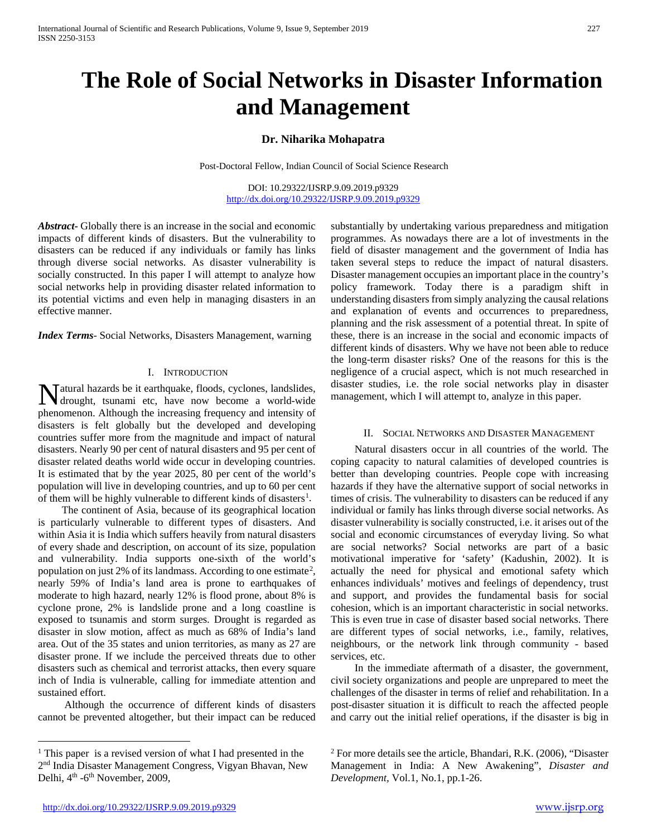# **The Role of Social Networks in Disaster Information and Management**

# **Dr. Niharika Mohapatra**

Post-Doctoral Fellow, Indian Council of Social Science Research

DOI: 10.29322/IJSRP.9.09.2019.p9329 <http://dx.doi.org/10.29322/IJSRP.9.09.2019.p9329>

*Abstract***-** Globally there is an increase in the social and economic impacts of different kinds of disasters. But the vulnerability to disasters can be reduced if any individuals or family has links through diverse social networks. As disaster vulnerability is socially constructed. In this paper I will attempt to analyze how social networks help in providing disaster related information to its potential victims and even help in managing disasters in an effective manner.

*Index Terms*- Social Networks, Disasters Management, warning

## I. INTRODUCTION

atural hazards be it earthquake, floods, cyclones, landslides, Matural hazards be it earthquake, floods, cyclones, landslides, drought, tsunami etc, have now become a world-wide phenomenon. Although the increasing frequency and intensity of disasters is felt globally but the developed and developing countries suffer more from the magnitude and impact of natural disasters. Nearly 90 per cent of natural disasters and 95 per cent of disaster related deaths world wide occur in developing countries. It is estimated that by the year 2025, 80 per cent of the world's population will live in developing countries, and up to 60 per cent of them will be highly vulnerable to different kinds of disasters<sup>[1](#page-0-0)</sup>.

 The continent of Asia, because of its geographical location is particularly vulnerable to different types of disasters. And within Asia it is India which suffers heavily from natural disasters of every shade and description, on account of its size, population and vulnerability. India supports one-sixth of the world's population on just [2](#page-0-0)% of its landmass. According to one estimate<sup>2</sup>, nearly 59% of India's land area is prone to earthquakes of moderate to high hazard, nearly 12% is flood prone, about 8% is cyclone prone, 2% is landslide prone and a long coastline is exposed to tsunamis and storm surges. Drought is regarded as disaster in slow motion, affect as much as 68% of India's land area. Out of the 35 states and union territories, as many as 27 are disaster prone. If we include the perceived threats due to other disasters such as chemical and terrorist attacks, then every square inch of India is vulnerable, calling for immediate attention and sustained effort.

 Although the occurrence of different kinds of disasters cannot be prevented altogether, but their impact can be reduced substantially by undertaking various preparedness and mitigation programmes. As nowadays there are a lot of investments in the field of disaster management and the government of India has taken several steps to reduce the impact of natural disasters. Disaster management occupies an important place in the country's policy framework. Today there is a paradigm shift in understanding disasters from simply analyzing the causal relations and explanation of events and occurrences to preparedness, planning and the risk assessment of a potential threat. In spite of these, there is an increase in the social and economic impacts of different kinds of disasters. Why we have not been able to reduce the long-term disaster risks? One of the reasons for this is the negligence of a crucial aspect, which is not much researched in disaster studies, i.e. the role social networks play in disaster management, which I will attempt to, analyze in this paper.

### II. SOCIAL NETWORKS AND DISASTER MANAGEMENT

 Natural disasters occur in all countries of the world. The coping capacity to natural calamities of developed countries is better than developing countries. People cope with increasing hazards if they have the alternative support of social networks in times of crisis. The vulnerability to disasters can be reduced if any individual or family has links through diverse social networks. As disaster vulnerability is socially constructed, i.e. it arises out of the social and economic circumstances of everyday living. So what are social networks? Social networks are part of a basic motivational imperative for 'safety' (Kadushin, 2002). It is actually the need for physical and emotional safety which enhances individuals' motives and feelings of dependency, trust and support, and provides the fundamental basis for social cohesion, which is an important characteristic in social networks. This is even true in case of disaster based social networks. There are different types of social networks, i.e., family, relatives, neighbours, or the network link through community - based services, etc.

 In the immediate aftermath of a disaster, the government, civil society organizations and people are unprepared to meet the challenges of the disaster in terms of relief and rehabilitation. In a post-disaster situation it is difficult to reach the affected people and carry out the initial relief operations, if the disaster is big in

<span id="page-0-0"></span><sup>&</sup>lt;sup>1</sup> This paper is a revised version of what I had presented in the 2nd India Disaster Management Congress, Vigyan Bhavan, New Delhi, 4<sup>th</sup> -6<sup>th</sup> November, 2009,

 $2$  For more details see the article, Bhandari, R.K. (2006), "Disaster Management in India: A New Awakening", *Disaster and Development,* Vol.1, No.1, pp.1-26.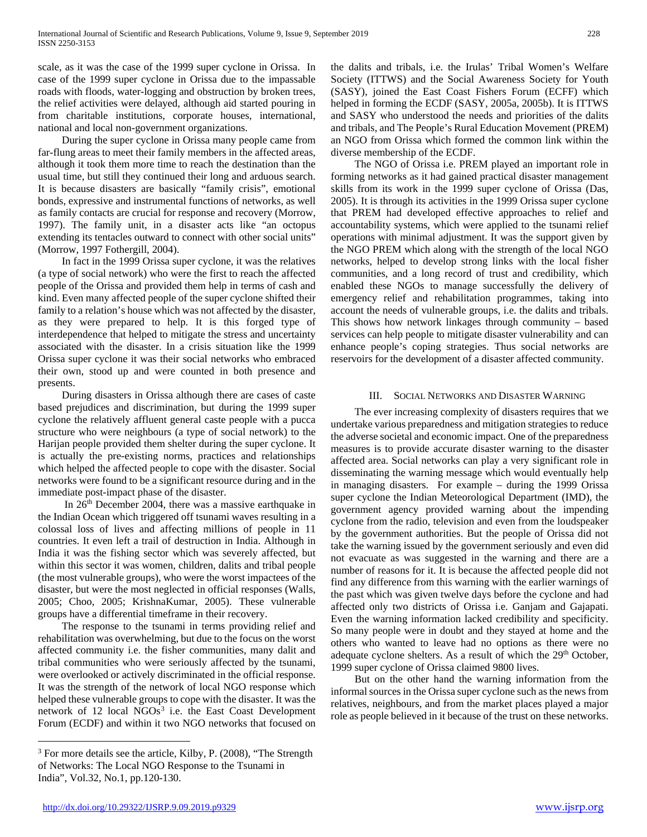scale, as it was the case of the 1999 super cyclone in Orissa. In case of the 1999 super cyclone in Orissa due to the impassable roads with floods, water-logging and obstruction by broken trees, the relief activities were delayed, although aid started pouring in from charitable institutions, corporate houses, international, national and local non-government organizations.

 During the super cyclone in Orissa many people came from far-flung areas to meet their family members in the affected areas, although it took them more time to reach the destination than the usual time, but still they continued their long and arduous search. It is because disasters are basically "family crisis", emotional bonds, expressive and instrumental functions of networks, as well as family contacts are crucial for response and recovery (Morrow, 1997). The family unit, in a disaster acts like "an octopus extending its tentacles outward to connect with other social units" (Morrow, 1997 Fothergill, 2004).

 In fact in the 1999 Orissa super cyclone, it was the relatives (a type of social network) who were the first to reach the affected people of the Orissa and provided them help in terms of cash and kind. Even many affected people of the super cyclone shifted their family to a relation's house which was not affected by the disaster, as they were prepared to help. It is this forged type of interdependence that helped to mitigate the stress and uncertainty associated with the disaster. In a crisis situation like the 1999 Orissa super cyclone it was their social networks who embraced their own, stood up and were counted in both presence and presents.

 During disasters in Orissa although there are cases of caste based prejudices and discrimination, but during the 1999 super cyclone the relatively affluent general caste people with a pucca structure who were neighbours (a type of social network) to the Harijan people provided them shelter during the super cyclone. It is actually the pre-existing norms, practices and relationships which helped the affected people to cope with the disaster. Social networks were found to be a significant resource during and in the immediate post-impact phase of the disaster.

In 26<sup>th</sup> December 2004, there was a massive earthquake in the Indian Ocean which triggered off tsunami waves resulting in a colossal loss of lives and affecting millions of people in 11 countries. It even left a trail of destruction in India. Although in India it was the fishing sector which was severely affected, but within this sector it was women, children, dalits and tribal people (the most vulnerable groups), who were the worst impactees of the disaster, but were the most neglected in official responses (Walls, 2005; Choo, 2005; KrishnaKumar, 2005). These vulnerable groups have a differential timeframe in their recovery.

 The response to the tsunami in terms providing relief and rehabilitation was overwhelming, but due to the focus on the worst affected community i.e. the fisher communities, many dalit and tribal communities who were seriously affected by the tsunami, were overlooked or actively discriminated in the official response. It was the strength of the network of local NGO response which helped these vulnerable groups to cope with the disaster. It was the network of 12 local  $NGOs<sup>3</sup>$  $NGOs<sup>3</sup>$  $NGOs<sup>3</sup>$  i.e. the East Coast Development Forum (ECDF) and within it two NGO networks that focused on the dalits and tribals, i.e. the Irulas' Tribal Women's Welfare Society (ITTWS) and the Social Awareness Society for Youth (SASY), joined the East Coast Fishers Forum (ECFF) which helped in forming the ECDF (SASY, 2005a, 2005b). It is ITTWS and SASY who understood the needs and priorities of the dalits and tribals, and The People's Rural Education Movement (PREM) an NGO from Orissa which formed the common link within the diverse membership of the ECDF.

 The NGO of Orissa i.e. PREM played an important role in forming networks as it had gained practical disaster management skills from its work in the 1999 super cyclone of Orissa (Das, 2005). It is through its activities in the 1999 Orissa super cyclone that PREM had developed effective approaches to relief and accountability systems, which were applied to the tsunami relief operations with minimal adjustment. It was the support given by the NGO PREM which along with the strength of the local NGO networks, helped to develop strong links with the local fisher communities, and a long record of trust and credibility, which enabled these NGOs to manage successfully the delivery of emergency relief and rehabilitation programmes, taking into account the needs of vulnerable groups, i.e. the dalits and tribals. This shows how network linkages through community – based services can help people to mitigate disaster vulnerability and can enhance people's coping strategies. Thus social networks are reservoirs for the development of a disaster affected community.

## III. SOCIAL NETWORKS AND DISASTER WARNING

 The ever increasing complexity of disasters requires that we undertake various preparedness and mitigation strategies to reduce the adverse societal and economic impact. One of the preparedness measures is to provide accurate disaster warning to the disaster affected area. Social networks can play a very significant role in disseminating the warning message which would eventually help in managing disasters. For example – during the 1999 Orissa super cyclone the Indian Meteorological Department (IMD), the government agency provided warning about the impending cyclone from the radio, television and even from the loudspeaker by the government authorities. But the people of Orissa did not take the warning issued by the government seriously and even did not evacuate as was suggested in the warning and there are a number of reasons for it. It is because the affected people did not find any difference from this warning with the earlier warnings of the past which was given twelve days before the cyclone and had affected only two districts of Orissa i.e. Ganjam and Gajapati. Even the warning information lacked credibility and specificity. So many people were in doubt and they stayed at home and the others who wanted to leave had no options as there were no adequate cyclone shelters. As a result of which the 29<sup>th</sup> October, 1999 super cyclone of Orissa claimed 9800 lives.

 But on the other hand the warning information from the informal sources in the Orissa super cyclone such as the news from relatives, neighbours, and from the market places played a major role as people believed in it because of the trust on these networks.

<span id="page-1-0"></span><sup>&</sup>lt;sup>3</sup> For more details see the article, Kilby, P. (2008), "The Strength of Networks: The Local NGO Response to the Tsunami in India", Vol.32, No.1, pp.120-130.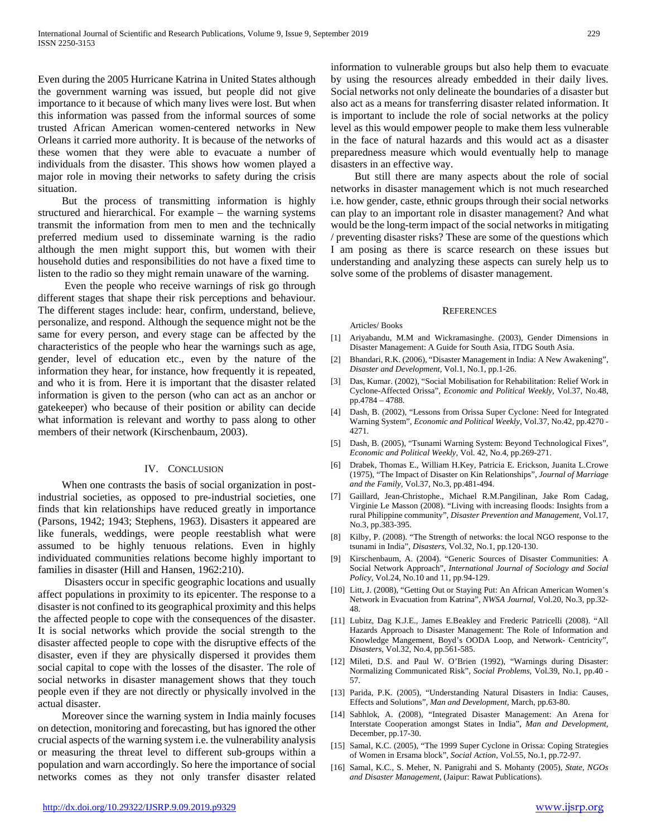Even during the 2005 Hurricane Katrina in United States although the government warning was issued, but people did not give importance to it because of which many lives were lost. But when this information was passed from the informal sources of some trusted African American women-centered networks in New Orleans it carried more authority. It is because of the networks of these women that they were able to evacuate a number of individuals from the disaster. This shows how women played a major role in moving their networks to safety during the crisis situation.

 But the process of transmitting information is highly structured and hierarchical. For example – the warning systems transmit the information from men to men and the technically preferred medium used to disseminate warning is the radio although the men might support this, but women with their household duties and responsibilities do not have a fixed time to listen to the radio so they might remain unaware of the warning.

 Even the people who receive warnings of risk go through different stages that shape their risk perceptions and behaviour. The different stages include: hear, confirm, understand, believe, personalize, and respond. Although the sequence might not be the same for every person, and every stage can be affected by the characteristics of the people who hear the warnings such as age, gender, level of education etc., even by the nature of the information they hear, for instance, how frequently it is repeated, and who it is from. Here it is important that the disaster related information is given to the person (who can act as an anchor or gatekeeper) who because of their position or ability can decide what information is relevant and worthy to pass along to other members of their network (Kirschenbaum, 2003).

#### IV. CONCLUSION

 When one contrasts the basis of social organization in postindustrial societies, as opposed to pre-industrial societies, one finds that kin relationships have reduced greatly in importance (Parsons, 1942; 1943; Stephens, 1963). Disasters it appeared are like funerals, weddings, were people reestablish what were assumed to be highly tenuous relations. Even in highly individuated communities relations become highly important to families in disaster (Hill and Hansen, 1962:210).

 Disasters occur in specific geographic locations and usually affect populations in proximity to its epicenter. The response to a disaster is not confined to its geographical proximity and this helps the affected people to cope with the consequences of the disaster. It is social networks which provide the social strength to the disaster affected people to cope with the disruptive effects of the disaster, even if they are physically dispersed it provides them social capital to cope with the losses of the disaster. The role of social networks in disaster management shows that they touch people even if they are not directly or physically involved in the actual disaster.

 Moreover since the warning system in India mainly focuses on detection, monitoring and forecasting, but has ignored the other crucial aspects of the warning system i.e. the vulnerability analysis or measuring the threat level to different sub-groups within a population and warn accordingly. So here the importance of social networks comes as they not only transfer disaster related information to vulnerable groups but also help them to evacuate by using the resources already embedded in their daily lives. Social networks not only delineate the boundaries of a disaster but also act as a means for transferring disaster related information. It is important to include the role of social networks at the policy level as this would empower people to make them less vulnerable in the face of natural hazards and this would act as a disaster preparedness measure which would eventually help to manage disasters in an effective way.

 But still there are many aspects about the role of social networks in disaster management which is not much researched i.e. how gender, caste, ethnic groups through their social networks can play to an important role in disaster management? And what would be the long-term impact of the social networks in mitigating / preventing disaster risks? These are some of the questions which I am posing as there is scarce research on these issues but understanding and analyzing these aspects can surely help us to solve some of the problems of disaster management.

#### **REFERENCES**

Articles/ Books

- [1] Ariyabandu, M.M and Wickramasinghe. (2003), Gender Dimensions in Disaster Management: A Guide for South Asia, ITDG South Asia.
- [2] Bhandari, R.K. (2006), "Disaster Management in India: A New Awakening", *Disaster and Development,* Vol.1, No.1, pp.1-26.
- [3] Das, Kumar. (2002), "Social Mobilisation for Rehabilitation: Relief Work in Cyclone-Affected Orissa", *Economic and Political Weekly,* Vol.37, No.48, pp.4784 – 4788.
- [4] Dash, B. (2002), "Lessons from Orissa Super Cyclone: Need for Integrated Warning System", *Economic and Political Weekly*, Vol.37, No.42, pp.4270 - 4271.
- [5] Dash, B. (2005), "Tsunami Warning System: Beyond Technological Fixes", *Economic and Political Weekly,* Vol. 42, No.4, pp.269-271.
- [6] Drabek, Thomas E., William H.Key, Patricia E. Erickson, Juanita L.Crowe (1975), "The Impact of Disaster on Kin Relationships", *Journal of Marriage and the Family,* Vol.37, No.3, pp.481-494.
- [7] Gaillard, Jean-Christophe., Michael R.M.Pangilinan, Jake Rom Cadag, Virginie Le Masson (2008). "Living with increasing floods: Insights from a rural Philippine community", *Disaster Prevention and Management,* Vol.17, No.3, pp.383-395.
- [8] Kilby, P. (2008). "The Strength of networks: the local NGO response to the tsunami in India", *Disasters,* Vol.32, No.1, pp.120-130.
- [9] Kirschenbaum, A. (2004). "Generic Sources of Disaster Communities: A Social Network Approach", *International Journal of Sociology and Social Policy,* Vol.24, No.10 and 11, pp.94-129.
- [10] Litt, J. (2008), "Getting Out or Staying Put: An African American Women's Network in Evacuation from Katrina", *NWSA Journal,* Vol.20, No.3, pp.32- 48.
- [11] Lubitz, Dag K.J.E., James E.Beakley and Frederic Patricelli (2008). "All Hazards Approach to Disaster Management: The Role of Information and Knowledge Mangement, Boyd's OODA Loop, and Network- Centricity", *Disasters,* Vol.32, No.4, pp.561-585.
- [12] Mileti, D.S. and Paul W. O'Brien (1992), "Warnings during Disaster: Normalizing Communicated Risk", *Social Problems,* Vol.39, No.1, pp.40 - 57.
- [13] Parida, P.K. (2005), "Understanding Natural Disasters in India: Causes, Effects and Solutions", *Man and Development,* March, pp.63-80.
- [14] Sabhlok, A. (2008), "Integrated Disaster Management: An Arena for Interstate Cooperation amongst States in India", *Man and Development,*  December, pp.17-30.
- [15] Samal, K.C. (2005), "The 1999 Super Cyclone in Orissa: Coping Strategies of Women in Ersama block", *Social Action*, Vol.55, No.1, pp.72-97.
- [16] Samal, K.C., S. Meher, N. Panigrahi and S. Mohanty (2005), *State, NGOs and Disaster Management,* (Jaipur: Rawat Publications).